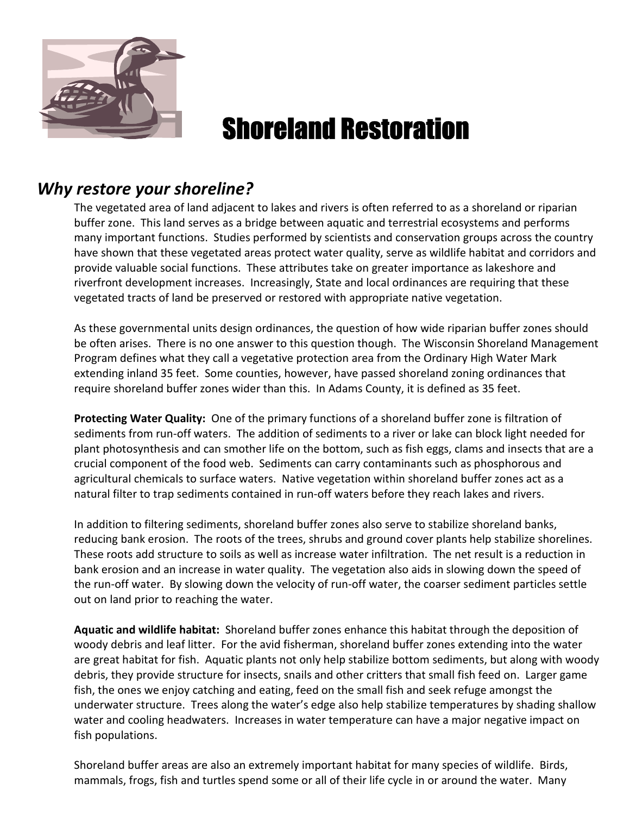

# Shoreland Restoration

## *Why restore your shoreline?*

The vegetated area of land adjacent to lakes and rivers is often referred to as a shoreland or riparian buffer zone. This land serves as a bridge between aquatic and terrestrial ecosystems and performs many important functions. Studies performed by scientists and conservation groups across the country have shown that these vegetated areas protect water quality, serve as wildlife habitat and corridors and provide valuable social functions. These attributes take on greater importance as lakeshore and riverfront development increases. Increasingly, State and local ordinances are requiring that these vegetated tracts of land be preserved or restored with appropriate native vegetation.

As these governmental units design ordinances, the question of how wide riparian buffer zones should be often arises. There is no one answer to this question though. The Wisconsin Shoreland Management Program defines what they call a vegetative protection area from the Ordinary High Water Mark extending inland 35 feet. Some counties, however, have passed shoreland zoning ordinances that require shoreland buffer zones wider than this. In Adams County, it is defined as 35 feet.

**Protecting Water Quality:** One of the primary functions of a shoreland buffer zone is filtration of sediments from run-off waters. The addition of sediments to a river or lake can block light needed for plant photosynthesis and can smother life on the bottom, such as fish eggs, clams and insects that are a crucial component of the food web. Sediments can carry contaminants such as phosphorous and agricultural chemicals to surface waters. Native vegetation within shoreland buffer zones act as a natural filter to trap sediments contained in run-off waters before they reach lakes and rivers.

In addition to filtering sediments, shoreland buffer zones also serve to stabilize shoreland banks, reducing bank erosion. The roots of the trees, shrubs and ground cover plants help stabilize shorelines. These roots add structure to soils as well as increase water infiltration. The net result is a reduction in bank erosion and an increase in water quality. The vegetation also aids in slowing down the speed of the run-off water. By slowing down the velocity of run-off water, the coarser sediment particles settle out on land prior to reaching the water.

**Aquatic and wildlife habitat:** Shoreland buffer zones enhance this habitat through the deposition of woody debris and leaf litter. For the avid fisherman, shoreland buffer zones extending into the water are great habitat for fish. Aquatic plants not only help stabilize bottom sediments, but along with woody debris, they provide structure for insects, snails and other critters that small fish feed on. Larger game fish, the ones we enjoy catching and eating, feed on the small fish and seek refuge amongst the underwater structure. Trees along the water's edge also help stabilize temperatures by shading shallow water and cooling headwaters. Increases in water temperature can have a major negative impact on fish populations.

Shoreland buffer areas are also an extremely important habitat for many species of wildlife. Birds, mammals, frogs, fish and turtles spend some or all of their life cycle in or around the water. Many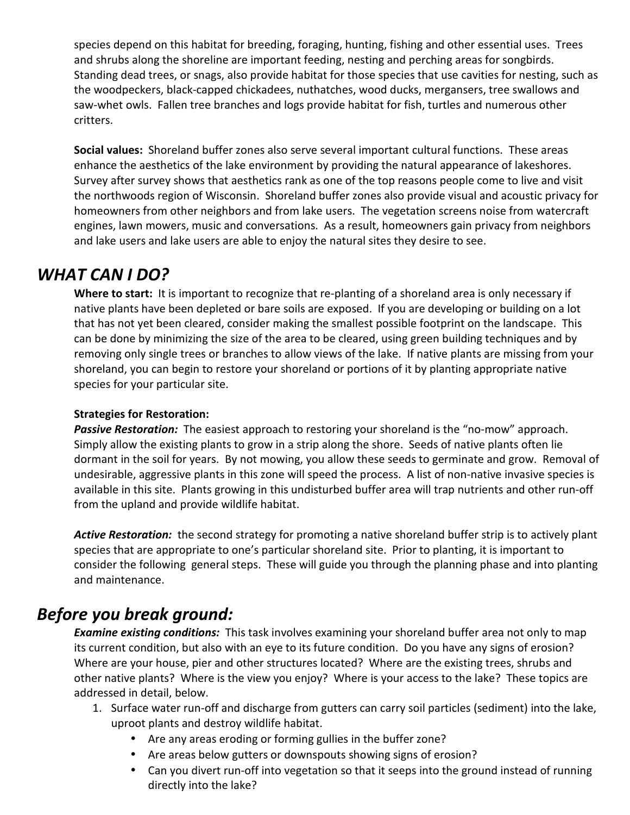species depend on this habitat for breeding, foraging, hunting, fishing and other essential uses. Trees and shrubs along the shoreline are important feeding, nesting and perching areas for songbirds. Standing dead trees, or snags, also provide habitat for those species that use cavities for nesting, such as the woodpeckers, black-capped chickadees, nuthatches, wood ducks, mergansers, tree swallows and saw-whet owls. Fallen tree branches and logs provide habitat for fish, turtles and numerous other critters.

**Social values:** Shoreland buffer zones also serve several important cultural functions. These areas enhance the aesthetics of the lake environment by providing the natural appearance of lakeshores. Survey after survey shows that aesthetics rank as one of the top reasons people come to live and visit the northwoods region of Wisconsin. Shoreland buffer zones also provide visual and acoustic privacy for homeowners from other neighbors and from lake users. The vegetation screens noise from watercraft engines, lawn mowers, music and conversations. As a result, homeowners gain privacy from neighbors and lake users and lake users are able to enjoy the natural sites they desire to see.

## *WHAT CAN I DO?*

**Where to start:** It is important to recognize that re-planting of a shoreland area is only necessary if native plants have been depleted or bare soils are exposed. If you are developing or building on a lot that has not yet been cleared, consider making the smallest possible footprint on the landscape. This can be done by minimizing the size of the area to be cleared, using green building techniques and by removing only single trees or branches to allow views of the lake. If native plants are missing from your shoreland, you can begin to restore your shoreland or portions of it by planting appropriate native species for your particular site.

## **Strategies for Restoration:**

*Passive Restoration:* The easiest approach to restoring your shoreland is the "no-mow" approach. Simply allow the existing plants to grow in a strip along the shore. Seeds of native plants often lie dormant in the soil for years. By not mowing, you allow these seeds to germinate and grow. Removal of undesirable, aggressive plants in this zone will speed the process. A list of non-native invasive species is available in this site. Plants growing in this undisturbed buffer area will trap nutrients and other run-off from the upland and provide wildlife habitat.

*Active Restoration:* the second strategy for promoting a native shoreland buffer strip is to actively plant species that are appropriate to one's particular shoreland site. Prior to planting, it is important to consider the following general steps. These will guide you through the planning phase and into planting and maintenance.

# *Before you break ground:*

*Examine existing conditions:* This task involves examining your shoreland buffer area not only to map its current condition, but also with an eye to its future condition. Do you have any signs of erosion? Where are your house, pier and other structures located? Where are the existing trees, shrubs and other native plants? Where is the view you enjoy? Where is your access to the lake? These topics are addressed in detail, below.

- 1. Surface water run-off and discharge from gutters can carry soil particles (sediment) into the lake, uproot plants and destroy wildlife habitat.
	- Are any areas eroding or forming gullies in the buffer zone?
	- Are areas below gutters or downspouts showing signs of erosion?
	- Can you divert run-off into vegetation so that it seeps into the ground instead of running directly into the lake?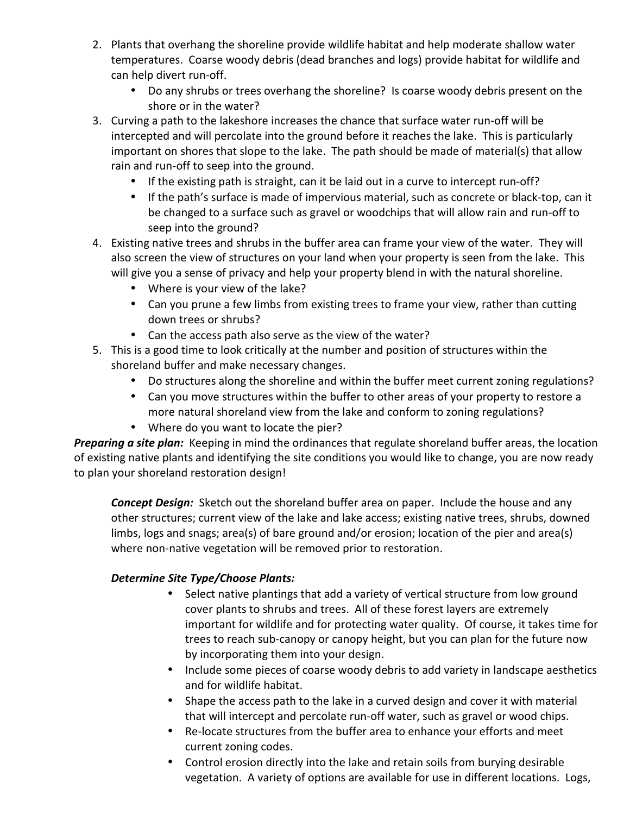- 2. Plants that overhang the shoreline provide wildlife habitat and help moderate shallow water temperatures. Coarse woody debris (dead branches and logs) provide habitat for wildlife and can help divert run-off.
	- Do any shrubs or trees overhang the shoreline? Is coarse woody debris present on the shore or in the water?
- 3. Curving a path to the lakeshore increases the chance that surface water run-off will be intercepted and will percolate into the ground before it reaches the lake. This is particularly important on shores that slope to the lake. The path should be made of material(s) that allow rain and run-off to seep into the ground.
	- If the existing path is straight, can it be laid out in a curve to intercept run-off?
	- If the path's surface is made of impervious material, such as concrete or black-top, can it be changed to a surface such as gravel or woodchips that will allow rain and run-off to seep into the ground?
- 4. Existing native trees and shrubs in the buffer area can frame your view of the water. They will also screen the view of structures on your land when your property is seen from the lake. This will give you a sense of privacy and help your property blend in with the natural shoreline.
	- Where is your view of the lake?
	- Can you prune a few limbs from existing trees to frame your view, rather than cutting down trees or shrubs?
	- Can the access path also serve as the view of the water?
- 5. This is a good time to look critically at the number and position of structures within the shoreland buffer and make necessary changes.
	- Do structures along the shoreline and within the buffer meet current zoning regulations?
	- Can you move structures within the buffer to other areas of your property to restore a more natural shoreland view from the lake and conform to zoning regulations?
	- Where do you want to locate the pier?

*Preparing a site plan:* Keeping in mind the ordinances that regulate shoreland buffer areas, the location of existing native plants and identifying the site conditions you would like to change, you are now ready to plan your shoreland restoration design!

*Concept Design:* Sketch out the shoreland buffer area on paper. Include the house and any other structures; current view of the lake and lake access; existing native trees, shrubs, downed limbs, logs and snags; area(s) of bare ground and/or erosion; location of the pier and area(s) where non-native vegetation will be removed prior to restoration.

### *Determine Site Type/Choose Plants:*

- Select native plantings that add a variety of vertical structure from low ground cover plants to shrubs and trees. All of these forest layers are extremely important for wildlife and for protecting water quality. Of course, it takes time for trees to reach sub-canopy or canopy height, but you can plan for the future now by incorporating them into your design.
- Include some pieces of coarse woody debris to add variety in landscape aesthetics and for wildlife habitat.
- Shape the access path to the lake in a curved design and cover it with material that will intercept and percolate run-off water, such as gravel or wood chips.
- Re-locate structures from the buffer area to enhance your efforts and meet current zoning codes.
- Control erosion directly into the lake and retain soils from burying desirable vegetation. A variety of options are available for use in different locations. Logs,